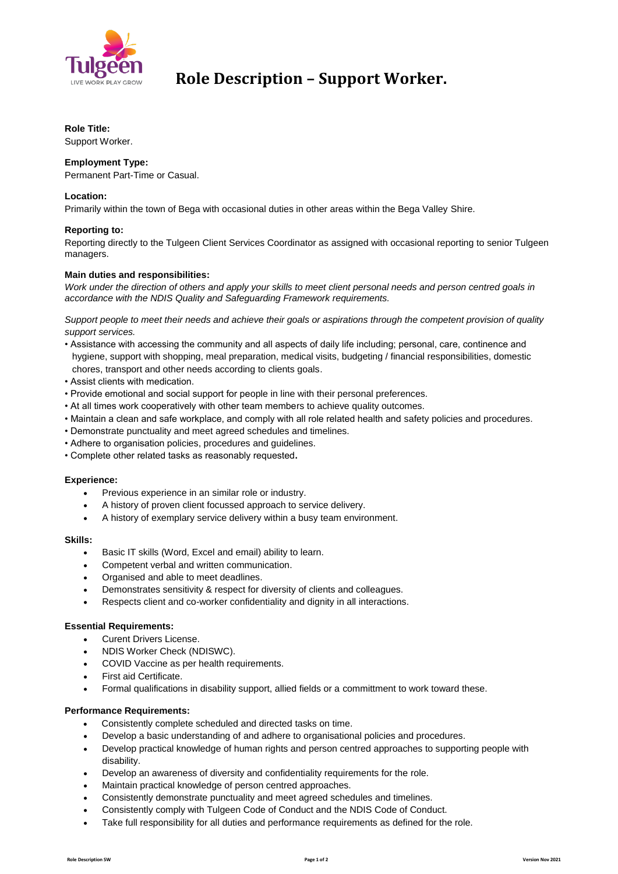

## **Role Description – Support Worker.**

## **Role Title:**

Support Worker.

## **Employment Type:**

Permanent Part-Time or Casual.

## **Location:**

Primarily within the town of Bega with occasional duties in other areas within the Bega Valley Shire.

## **Reporting to:**

Reporting directly to the Tulgeen Client Services Coordinator as assigned with occasional reporting to senior Tulgeen managers.

## **Main duties and responsibilities:**

*Work under the direction of others and apply your skills to meet client personal needs and person centred goals in accordance with the NDIS Quality and Safeguarding Framework requirements.*

*Support people to meet their needs and achieve their goals or aspirations through the competent provision of quality support services.*

- Assistance with accessing the community and all aspects of daily life including; personal, care, continence and hygiene, support with shopping, meal preparation, medical visits, budgeting / financial responsibilities, domestic chores, transport and other needs according to clients goals.
- Assist clients with medication.
- Provide emotional and social support for people in line with their personal preferences.
- At all times work cooperatively with other team members to achieve quality outcomes.
- Maintain a clean and safe workplace, and comply with all role related health and safety policies and procedures.
- Demonstrate punctuality and meet agreed schedules and timelines.
- Adhere to organisation policies, procedures and guidelines.
- Complete other related tasks as reasonably requested**.**

#### **Experience:**

- Previous experience in an similar role or industry.
- A history of proven client focussed approach to service delivery.
- A history of exemplary service delivery within a busy team environment.

#### **Skills:**

- Basic IT skills (Word, Excel and email) ability to learn.
- Competent verbal and written communication.
- Organised and able to meet deadlines.
- Demonstrates sensitivity & respect for diversity of clients and colleagues.
- Respects client and co-worker confidentiality and dignity in all interactions.

#### **Essential Requirements:**

- Curent Drivers License.
- NDIS Worker Check (NDISWC).
- COVID Vaccine as per health requirements.
- First aid Certificate.
- Formal qualifications in disability support, allied fields or a committment to work toward these.

## **Performance Requirements:**

- Consistently complete scheduled and directed tasks on time.
- Develop a basic understanding of and adhere to organisational policies and procedures.
- Develop practical knowledge of human rights and person centred approaches to supporting people with disability.
- Develop an awareness of diversity and confidentiality requirements for the role.
- Maintain practical knowledge of person centred approaches.
- Consistently demonstrate punctuality and meet agreed schedules and timelines.
- Consistently comply with Tulgeen Code of Conduct and the NDIS Code of Conduct.
- Take full responsibility for all duties and performance requirements as defined for the role.